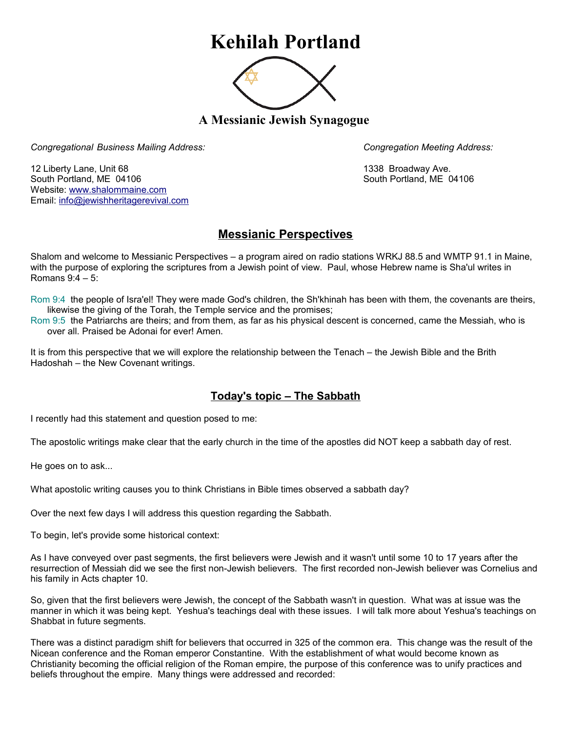## **Kehilah Portland**



**A Messianic Jewish Synagogue** 

*Congregational Business Mailing Address: Congregation Meeting Address:*

12 Liberty Lane, Unit 68 1338 Broadway Ave. South Portland, ME 04106 South Portland, ME 04106 Website: [www.shalommaine.com](http://www.shalommaine.com/) Email: [info@jewishheritagerevival.com](mailto:info@jewishheritagerevival.com) 

## **Messianic Perspectives**

Shalom and welcome to Messianic Perspectives – a program aired on radio stations WRKJ 88.5 and WMTP 91.1 in Maine, with the purpose of exploring the scriptures from a Jewish point of view. Paul, whose Hebrew name is Sha'ul writes in Romans 9:4 – 5:

Rom 9:4 the people of Isra'el! They were made God's children, the Sh'khinah has been with them, the covenants are theirs, likewise the giving of the Torah, the Temple service and the promises;

Rom 9:5 the Patriarchs are theirs; and from them, as far as his physical descent is concerned, came the Messiah, who is over all. Praised be Adonai for ever! Amen.

It is from this perspective that we will explore the relationship between the Tenach – the Jewish Bible and the Brith Hadoshah – the New Covenant writings.

## **Today's topic – The Sabbath**

I recently had this statement and question posed to me:

The apostolic writings make clear that the early church in the time of the apostles did NOT keep a sabbath day of rest.

He goes on to ask...

What apostolic writing causes you to think Christians in Bible times observed a sabbath day?

Over the next few days I will address this question regarding the Sabbath.

To begin, let's provide some historical context:

As I have conveyed over past segments, the first believers were Jewish and it wasn't until some 10 to 17 years after the resurrection of Messiah did we see the first non-Jewish believers. The first recorded non-Jewish believer was Cornelius and his family in Acts chapter 10.

So, given that the first believers were Jewish, the concept of the Sabbath wasn't in question. What was at issue was the manner in which it was being kept. Yeshua's teachings deal with these issues. I will talk more about Yeshua's teachings on Shabbat in future segments.

There was a distinct paradigm shift for believers that occurred in 325 of the common era. This change was the result of the Nicean conference and the Roman emperor Constantine. With the establishment of what would become known as Christianity becoming the official religion of the Roman empire, the purpose of this conference was to unify practices and beliefs throughout the empire. Many things were addressed and recorded: